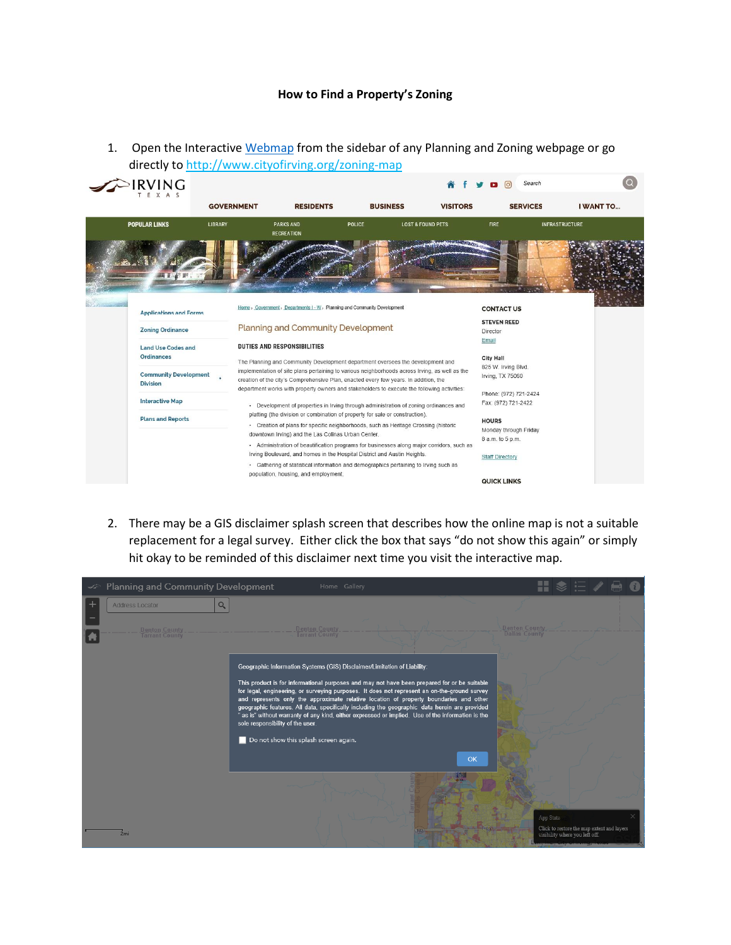## **How to Find a Property's Zoning**

1. Open the Interactive [Webmap](http://cityofirving.maps.arcgis.com/apps/webappviewer/index.html?id=dd92ed553d20481f9587ae54d2564b76) from the sidebar of any Planning and Zoning webpage or go directly to<http://www.cityofirving.org/zoning-map>



2. There may be a GIS disclaimer splash screen that describes how the online map is not a suitable replacement for a legal survey. Either click the box that says "do not show this again" or simply hit okay to be reminded of this disclaimer next time you visit the interactive map.

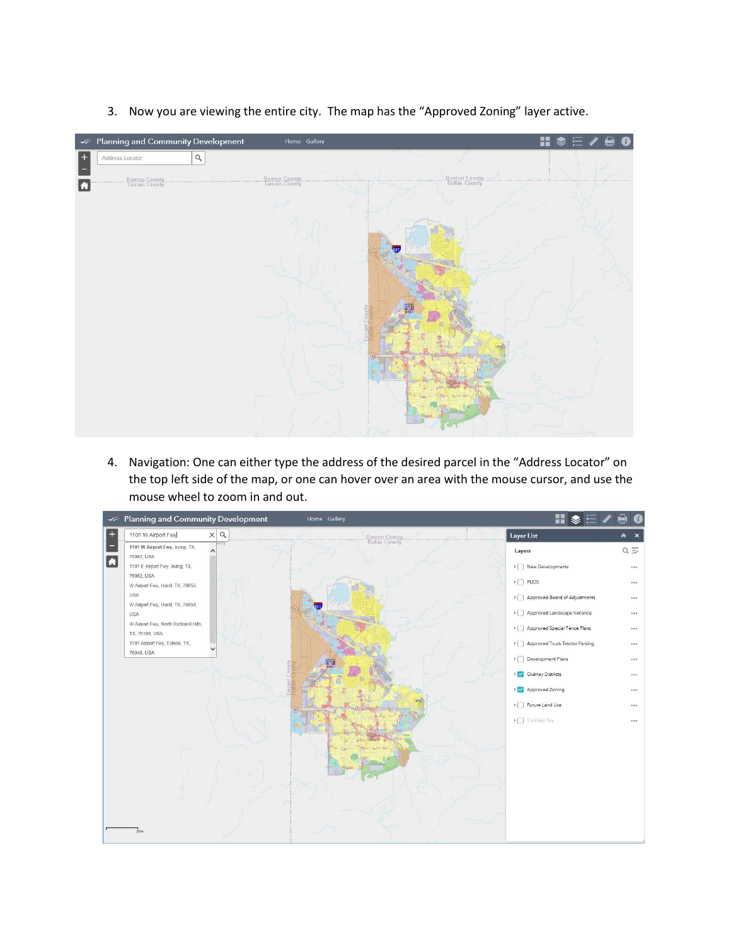

3. Now you are viewing the entire city. The map has the "Approved Zoning" layer active.

4. Navigation: One can either type the address of the desired parcel in the "Address Locator" on the top left side of the map, or one can hover over an area with the mouse cursor, and use the mouse wheel to zoom in and out.

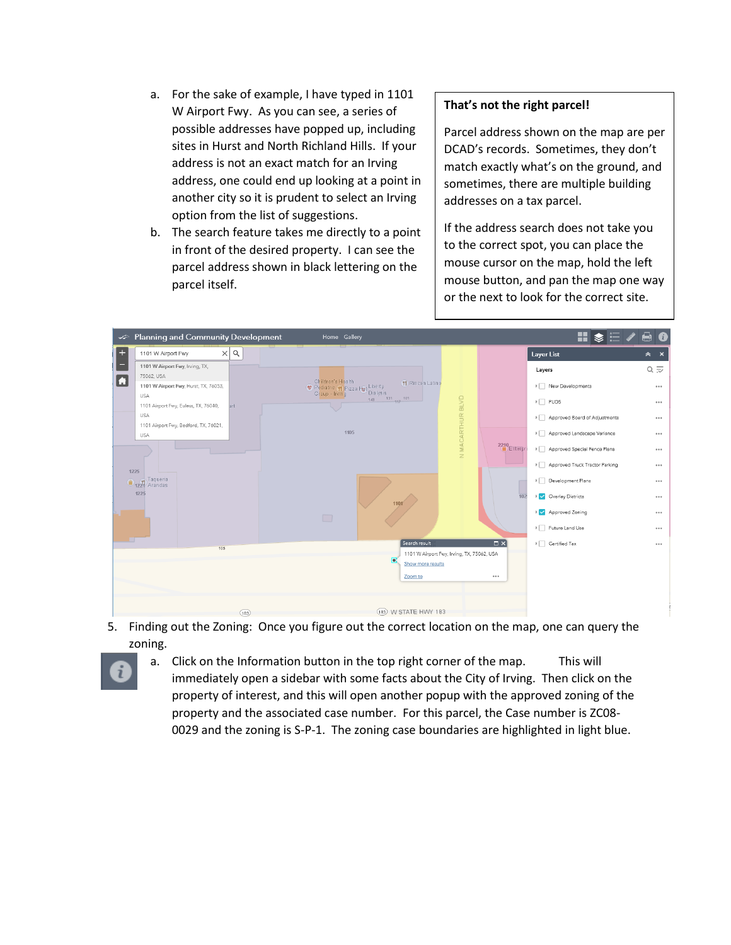- a. For the sake of example, I have typed in 1101 W Airport Fwy. As you can see, a series of possible addresses have popped up, including sites in Hurst and North Richland Hills. If your address is not an exact match for an Irving address, one could end up looking at a point in another city so it is prudent to select an Irving option from the list of suggestions.
- b. The search feature takes me directly to a point in front of the desired property. I can see the parcel address shown in black lettering on the parcel itself.

## **That's not the right parcel!**

Parcel address shown on the map are per DCAD's records. Sometimes, they don't match exactly what's on the ground, and sometimes, there are multiple building addresses on a tax parcel.

If the address search does not take you to the correct spot, you can place the mouse cursor on the map, hold the left mouse button, and pan the map one way or the next to look for the correct site.



- 5. Finding out the Zoning: Once you figure out the correct location on the map, one can query the zoning.
	- a. Click on the Information button in the top right corner of the map. This will immediately open a sidebar with some facts about the City of Irving. Then click on the property of interest, and this will open another popup with the approved zoning of the property and the associated case number. For this parcel, the Case number is ZC08- 0029 and the zoning is S-P-1. The zoning case boundaries are highlighted in light blue.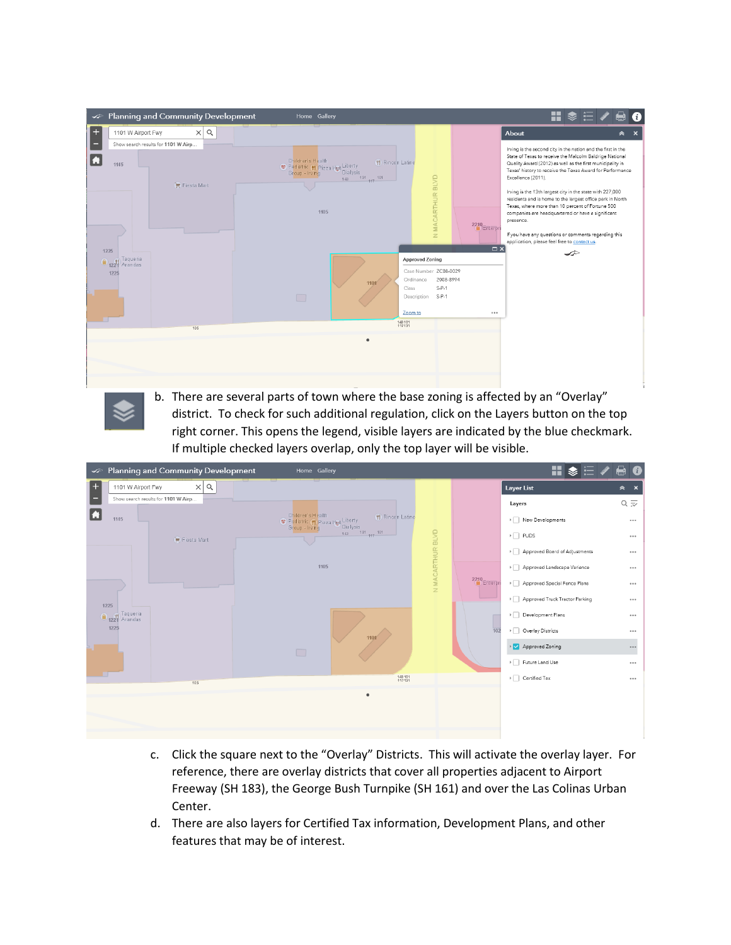|                               | ← Planning and Community Development                       |                   | Home Gallery                                                                                                           |                                                                                                                                         | $\mathbf{H}\otimes\equiv\mathscr{S}$<br>⊖<br>$\bullet$                                                                                                                                                                                                                                                                                                                                                                                                |
|-------------------------------|------------------------------------------------------------|-------------------|------------------------------------------------------------------------------------------------------------------------|-----------------------------------------------------------------------------------------------------------------------------------------|-------------------------------------------------------------------------------------------------------------------------------------------------------------------------------------------------------------------------------------------------------------------------------------------------------------------------------------------------------------------------------------------------------------------------------------------------------|
| $\pm$                         | 1101 W Airport Fwy                                         | $\times$ $\alpha$ |                                                                                                                        |                                                                                                                                         | About<br>$\hat{z}$ x                                                                                                                                                                                                                                                                                                                                                                                                                                  |
| $\overline{\phantom{a}}$<br>Ш | Show search results for 1101 W Airp<br>1145<br>Fiesta Mart |                   | Children's Health<br>Rincon Latino<br>Pediatric T Pizza Hut Liberty<br>Dialysis<br>Group - Irving<br>$143$ $131$ $101$ | N MACARTHUR BLVD                                                                                                                        | Irving is the second city in the nation and the first in the<br>State of Texas to receive the Malcolm Baldrige National<br>Quality Award (2012) as well as the first municipality in<br>Texas' history to receive the Texas Award for Performance<br>Excellence (2011).<br>Irving is the 13th largest city in the state with 227,000<br>residents and is home to the largest office park in North<br>Texas, where more than 10 percent of Fortune 500 |
|                               | 1225                                                       |                   | 1105                                                                                                                   | 2210 Enterpri<br>$\Box$ $\times$                                                                                                        | companies are headquartered or have a significant<br>presence.<br>If you have any questions or comments regarding this<br>application, please feel free to contact us.<br>∽                                                                                                                                                                                                                                                                           |
|                               | 122 Arandas<br>1225                                        |                   | 1101<br>$\Box$                                                                                                         | <b>Approved Zoning</b><br>Case Number ZC08-0029<br>2008-8994<br>Ordinance<br>S.P.1<br>Class<br>S.P.1<br>Description<br>Zoom to<br>0.0.0 |                                                                                                                                                                                                                                                                                                                                                                                                                                                       |
|                               | 105                                                        |                   |                                                                                                                        | 143 101<br>117 131                                                                                                                      |                                                                                                                                                                                                                                                                                                                                                                                                                                                       |
|                               |                                                            |                   | ٠                                                                                                                      |                                                                                                                                         |                                                                                                                                                                                                                                                                                                                                                                                                                                                       |

b. There are several parts of town where the base zoning is affected by an "Overlay" district. To check for such additional regulation, click on the Layers button on the top right corner. This opens the legend, visible layers are indicated by the blue checkmark. If multiple checked layers overlap, only the top layer will be visible.

| ∞ | <b>Planning and Community Development</b> | Home Gallery                                                                                       |                  | $\mathbf{H}\otimes\mathbf{H}$ .  | $\mathbf \Theta$<br>$\mathbf 6$ |
|---|-------------------------------------------|----------------------------------------------------------------------------------------------------|------------------|----------------------------------|---------------------------------|
| ÷ | $\times$ $\alpha$<br>1101 W Airport Fwy   |                                                                                                    |                  | <b>Layer List</b>                | $\hat{z}$ x                     |
| - | Show search results for 1101 W Airp       |                                                                                                    |                  | Layers                           | $Q \equiv$                      |
| H | 1145                                      | Children's Health<br>Rincon Latino<br>Pediatric T Pizza Higt Liberty<br>Dialysis<br>Group - Irving |                  | > New Developments               | $\cdots$                        |
|   | Fiesta Mart                               | $143$ $131$ $101$                                                                                  |                  | $\triangleright$ PUDS            | $\cdots$                        |
|   |                                           | N MACARTHUR BLVD<br>1105                                                                           | 2210<br>Enterpri | > Approved Board of Adjustments  | 0.0.0                           |
|   |                                           |                                                                                                    |                  | Approved Landscape Variance      | 0.0.0                           |
|   |                                           |                                                                                                    |                  | Approved Special Fence Plans     | 0.0.0                           |
|   | 1225                                      |                                                                                                    |                  | > Approved Truck Tractor Parking | 0.0.0                           |
|   | 122 Arandas                               |                                                                                                    |                  | > Development Plans              | 0.0.0                           |
|   | 1225                                      | 1101                                                                                               | 102              | > Overlay Districts              | 0.0.0                           |
|   |                                           | $\Box$                                                                                             |                  | Approved Zoning                  | $\cdots$                        |
|   |                                           |                                                                                                    |                  | Future Land Use                  | 0.0.0                           |
|   | 105                                       | 143 101<br>117 131                                                                                 |                  | $\triangleright$ Certified Tax   | 0.0.0                           |
|   |                                           | $\bullet$                                                                                          |                  |                                  |                                 |
|   |                                           |                                                                                                    |                  |                                  |                                 |
|   |                                           |                                                                                                    |                  |                                  |                                 |
|   |                                           |                                                                                                    |                  |                                  |                                 |

- c. Click the square next to the "Overlay" Districts. This will activate the overlay layer. For reference, there are overlay districts that cover all properties adjacent to Airport Freeway (SH 183), the George Bush Turnpike (SH 161) and over the Las Colinas Urban Center.
- d. There are also layers for Certified Tax information, Development Plans, and other features that may be of interest.